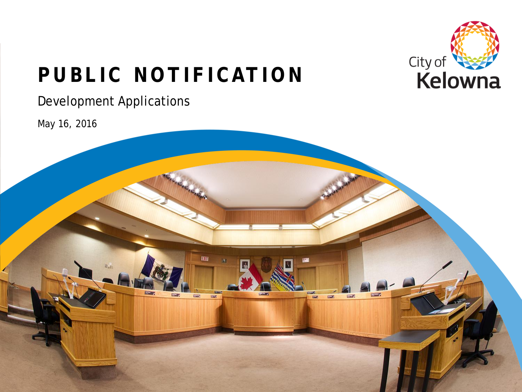

# **PUBLIC NOTIFICATION**

#### Development Applications

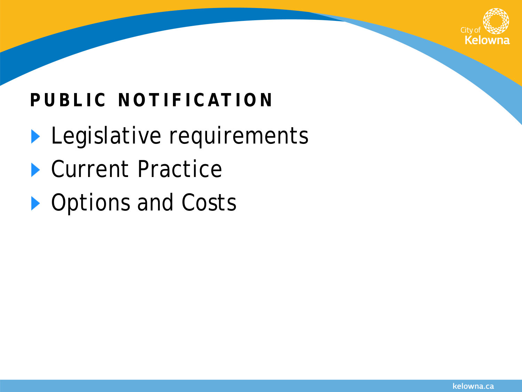

## **PUBLIC NOTIFICATION**

- **Legislative requirements**
- ▶ Current Practice
- ▶ Options and Costs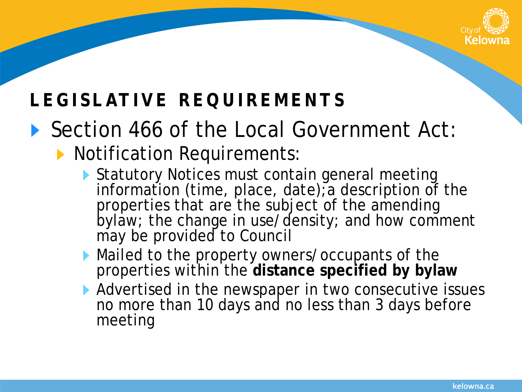

## **LEGISLATIVE REQUIREMENTS**

# ▶ Section 466 of the Local Government Act:

#### **Notification Requirements:**

- Statutory Notices must contain general meeting information (time, place, date);a description of the properties that are the subject of the amending bylaw; the change in use/density; and how comment may be provided to Council
- Mailed to the property owners/occupants of the properties within the **distance specified by bylaw**
- Advertised in the newspaper in two consecutive issues no more than 10 days and no less than 3 days before meeting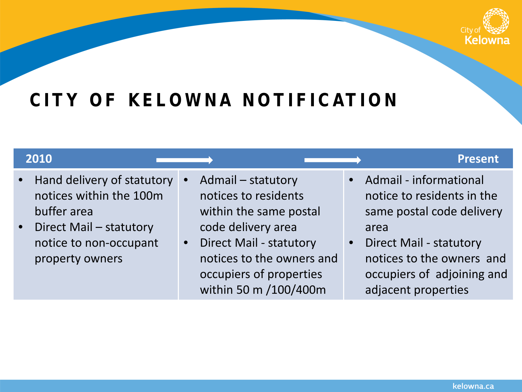

## **CITY OF KELOWNA NOTIFICATION**

- Hand delivery of statutory notices within the 100m buffer area
- Direct Mail statutory notice to non-occupant property owners
- Admail statutory notices to residents within the same postal code delivery area
- Direct Mail statutory notices to the owners and occupiers of properties within 50 m /100/400m

#### **2010 Present**

- Admail informational notice to residents in the same postal code delivery area
- Direct Mail statutory notices to the owners and occupiers of adjoining and adjacent properties